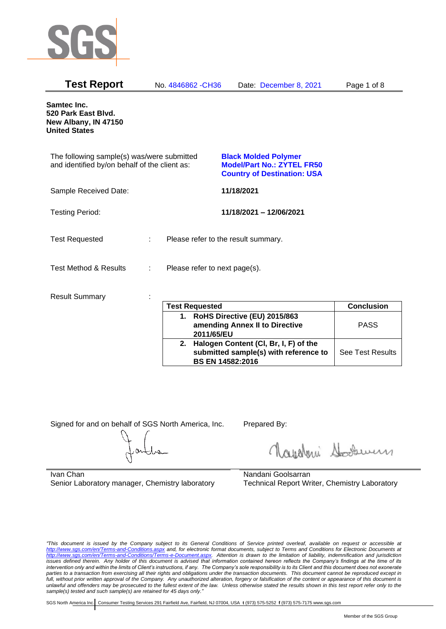

| <b>Test Report</b>                                                                          |   | No. 4846862 - CH36            | Date: December 8, 2021                                                                                 | Page 1 of 8       |
|---------------------------------------------------------------------------------------------|---|-------------------------------|--------------------------------------------------------------------------------------------------------|-------------------|
| Samtec Inc.<br>520 Park East Blvd.<br>New Albany, IN 47150<br><b>United States</b>          |   |                               |                                                                                                        |                   |
| The following sample(s) was/were submitted<br>and identified by/on behalf of the client as: |   |                               | <b>Black Molded Polymer</b><br><b>Model/Part No.: ZYTEL FR50</b><br><b>Country of Destination: USA</b> |                   |
| Sample Received Date:                                                                       |   |                               | 11/18/2021                                                                                             |                   |
| <b>Testing Period:</b>                                                                      |   |                               | 11/18/2021 - 12/06/2021                                                                                |                   |
| <b>Test Requested</b>                                                                       | ÷ |                               | Please refer to the result summary.                                                                    |                   |
| Test Method & Results                                                                       | ÷ | Please refer to next page(s). |                                                                                                        |                   |
| <b>Result Summary</b>                                                                       |   | <b>Test Requested</b>         |                                                                                                        | <b>Conclusion</b> |

|    | <b>Test Requested</b>                                                                                     | <b>Conclusion</b>       |
|----|-----------------------------------------------------------------------------------------------------------|-------------------------|
| 1. | RoHS Directive (EU) 2015/863<br>amending Annex II to Directive<br>2011/65/EU                              | <b>PASS</b>             |
| 2. | Halogen Content (CI, Br, I, F) of the<br>submitted sample(s) with reference to<br><b>BS EN 14582:2016</b> | <b>See Test Results</b> |

Signed for and on behalf of SGS North America, Inc. Prepared By:

Royalmi Souri

Ivan Chan Senior Laboratory manager, Chemistry laboratory

Nandani Goolsarran Technical Report Writer, Chemistry Laboratory

*"This document is issued by the Company subject to its General Conditions of Service printed overleaf, available on request or accessible at <http://www.sgs.com/en/Terms-and-Conditions.aspx> and, for electronic format documents, subject to Terms and Conditions for Electronic Documents at [http://www.sgs.com/en/Terms-and-Conditions/Terms-e-Document.aspx.](http://www.sgs.com/en/Terms-and-Conditions/Terms-e-Document.aspx) Attention is drawn to the limitation of liability, indemnification and jurisdiction issues defined therein. Any holder of this document is advised that information contained hereon reflects the Company's findings at the time of its intervention only and within the limits of Client's instructions, if any. The Company's sole responsibility is to its Client and this document does not exonerate parties to a transaction from exercising all their rights and obligations under the transaction documents. This document cannot be reproduced except in*  full, without prior written approval of the Company. Any unauthorized alteration, forgery or falsification of the content or appearance of this document is *unlawful and offenders may be prosecuted to the fullest extent of the law. Unless otherwise stated the results shown in this test report refer only to the sample(s) tested and such sample(s) are retained for 45 days only."*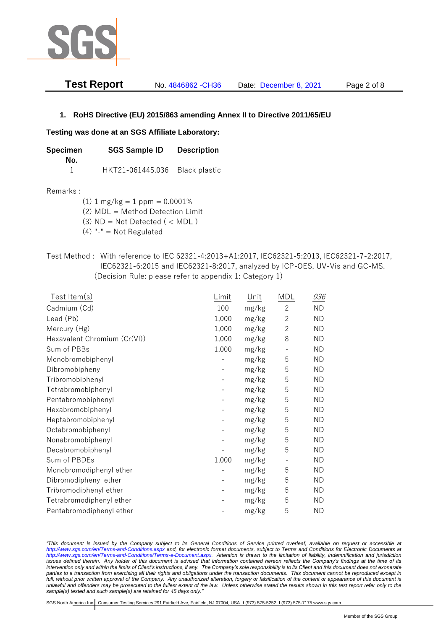

| <b>Test Report</b> | No. 4846862 - CH36 | Date: December 8, 2021 | Page 2 of 8 |
|--------------------|--------------------|------------------------|-------------|
|                    |                    |                        |             |

## **1. RoHS Directive (EU) 2015/863 amending Annex II to Directive 2011/65/EU**

### **Testing was done at an SGS Affiliate Laboratory:**

| Specimen | <b>SGS Sample ID</b>           | <b>Description</b> |
|----------|--------------------------------|--------------------|
| No.      |                                |                    |
|          | HKT21-061445.036 Black plastic |                    |

### Remarks :

 $(1)$  1 mg/kg = 1 ppm = 0.0001%

(2) MDL = Method Detection Limit

(3)  $ND = Not detected$  ( < MDL)

- (4) "-" = Not Regulated
- Test Method : With reference to IEC 62321-4:2013+A1:2017, IEC62321-5:2013, IEC62321-7-2:2017, IEC62321-6:2015 and IEC62321-8:2017, analyzed by ICP-OES, UV-Vis and GC-MS. (Decision Rule: please refer to appendix 1: Category 1)

| Test Item(s)                 | Limit | Unit  | <b>MDL</b>     | 036       |
|------------------------------|-------|-------|----------------|-----------|
| Cadmium (Cd)                 | 100   | mg/kg | $\mathbf{2}$   | <b>ND</b> |
| Lead (Pb)                    | 1,000 | mg/kg | $\overline{2}$ | <b>ND</b> |
| Mercury (Hg)                 | 1,000 | mg/kg | $\overline{2}$ | <b>ND</b> |
| Hexavalent Chromium (Cr(VI)) | 1,000 | mg/kg | 8              | <b>ND</b> |
| Sum of PBBs                  | 1,000 | mg/kg |                | <b>ND</b> |
| Monobromobiphenyl            |       | mg/kg | 5              | <b>ND</b> |
| Dibromobiphenyl              |       | mg/kg | 5              | <b>ND</b> |
| Tribromobiphenyl             |       | mg/kg | 5              | <b>ND</b> |
| Tetrabromobiphenyl           |       | mg/kg | 5              | <b>ND</b> |
| Pentabromobiphenyl           |       | mg/kg | 5              | <b>ND</b> |
| Hexabromobiphenyl            |       | mg/kg | 5              | <b>ND</b> |
| Heptabromobiphenyl           |       | mg/kg | 5              | <b>ND</b> |
| Octabromobiphenyl            |       | mg/kg | 5              | <b>ND</b> |
| Nonabromobiphenyl            |       | mg/kg | 5              | <b>ND</b> |
| Decabromobiphenyl            |       | mg/kg | 5              | <b>ND</b> |
| Sum of PBDEs                 | 1,000 | mg/kg |                | <b>ND</b> |
| Monobromodiphenyl ether      |       | mg/kg | 5              | <b>ND</b> |
| Dibromodiphenyl ether        |       | mg/kg | 5              | <b>ND</b> |
| Tribromodiphenyl ether       |       | mg/kg | 5              | <b>ND</b> |
| Tetrabromodiphenyl ether     |       | mg/kg | 5              | <b>ND</b> |
| Pentabromodiphenyl ether     |       | mg/kg | 5              | <b>ND</b> |

*"This document is issued by the Company subject to its General Conditions of Service printed overleaf, available on request or accessible at <http://www.sgs.com/en/Terms-and-Conditions.aspx> and, for electronic format documents, subject to Terms and Conditions for Electronic Documents at [http://www.sgs.com/en/Terms-and-Conditions/Terms-e-Document.aspx.](http://www.sgs.com/en/Terms-and-Conditions/Terms-e-Document.aspx) Attention is drawn to the limitation of liability, indemnification and jurisdiction issues defined therein. Any holder of this document is advised that information contained hereon reflects the Company's findings at the time of its intervention only and within the limits of Client's instructions, if any. The Company's sole responsibility is to its Client and this document does not exonerate*  parties to a transaction from exercising all their rights and obligations under the transaction documents. This document cannot be reproduced except in full, without prior written approval of the Company. Any unauthorized alteration, forgery or falsification of the content or appearance of this document is *unlawful and offenders may be prosecuted to the fullest extent of the law. Unless otherwise stated the results shown in this test report refer only to the sample(s) tested and such sample(s) are retained for 45 days only."*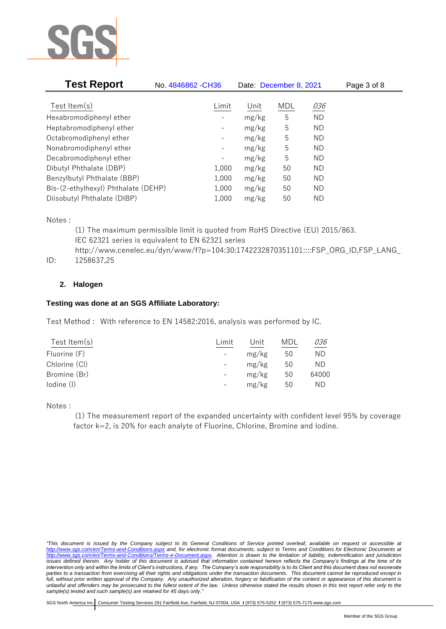

| <b>Test Report</b>                  | No. 4846862 - CH36 | Date: December 8, 2021 |     |           | Page 3 of 8 |
|-------------------------------------|--------------------|------------------------|-----|-----------|-------------|
|                                     |                    |                        |     |           |             |
| Test Item $(s)$                     | Limit              | Unit                   | MDL | 036       |             |
| Hexabromodiphenyl ether             |                    | mg/kg                  | 5   | ND        |             |
| Heptabromodiphenyl ether            |                    | mg/kg                  | 5   | ND        |             |
| Octabromodiphenyl ether             | $\qquad \qquad -$  | mg/kg                  | 5   | <b>ND</b> |             |
| Nonabromodiphenyl ether             | -                  | mg/kg                  | 5   | ND        |             |
| Decabromodiphenyl ether             |                    | mg/kg                  | 5   | ND        |             |
| Dibutyl Phthalate (DBP)             | 1,000              | mg/kg                  | 50  | ND        |             |
| Benzylbutyl Phthalate (BBP)         | 1,000              | mg/kg                  | 50  | ND        |             |
| Bis-(2-ethylhexyl) Phthalate (DEHP) | 1,000              | mg/kg                  | 50  | ND        |             |
| Diisobutyl Phthalate (DIBP)         | 1,000              | mg/kg                  | 50  | ΝD        |             |

Notes :

(1) The maximum permissible limit is quoted from RoHS Directive (EU) 2015/863. IEC 62321 series is equivalent to EN 62321 series http://www.cenelec.eu/dyn/www/f?p=104:30:1742232870351101::::FSP\_ORG\_ID,FSP\_LANG\_

ID: 1258637,25

# **2. Halogen**

# **Testing was done at an SGS Affiliate Laboratory:**

Test Method : With reference to EN 14582:2016, analysis was performed by IC.

| Test Item $(s)$ | Limit                    | Unit  | MDL | <u>036</u> |
|-----------------|--------------------------|-------|-----|------------|
| Fluorine (F)    | $-$                      | mg/kg | 50  | ΝD         |
| Chlorine (CI)   | $\overline{\phantom{0}}$ | mg/kg | 50  | ΝD         |
| Bromine (Br)    |                          | mg/kg | 50  | 64000      |
| lodine (I)      | -                        | mg/kg | 50  | ΝD         |
|                 |                          |       |     |            |

Notes :

(1) The measurement report of the expanded uncertainty with confident level 95% by coverage factor k=2, is 20% for each analyte of Fluorine, Chlorine, Bromine and Iodine.

*<sup>&</sup>quot;This document is issued by the Company subject to its General Conditions of Service printed overleaf, available on request or accessible at <http://www.sgs.com/en/Terms-and-Conditions.aspx> and, for electronic format documents, subject to Terms and Conditions for Electronic Documents at [http://www.sgs.com/en/Terms-and-Conditions/Terms-e-Document.aspx.](http://www.sgs.com/en/Terms-and-Conditions/Terms-e-Document.aspx) Attention is drawn to the limitation of liability, indemnification and jurisdiction issues defined therein. Any holder of this document is advised that information contained hereon reflects the Company's findings at the time of its intervention only and within the limits of Client's instructions, if any. The Company's sole responsibility is to its Client and this document does not exonerate*  parties to a transaction from exercising all their rights and obligations under the transaction documents. This document cannot be reproduced except in full, without prior written approval of the Company. Any unauthorized alteration, forgery or falsification of the content or appearance of this document is *unlawful and offenders may be prosecuted to the fullest extent of the law. Unless otherwise stated the results shown in this test report refer only to the sample(s) tested and such sample(s) are retained for 45 days only."*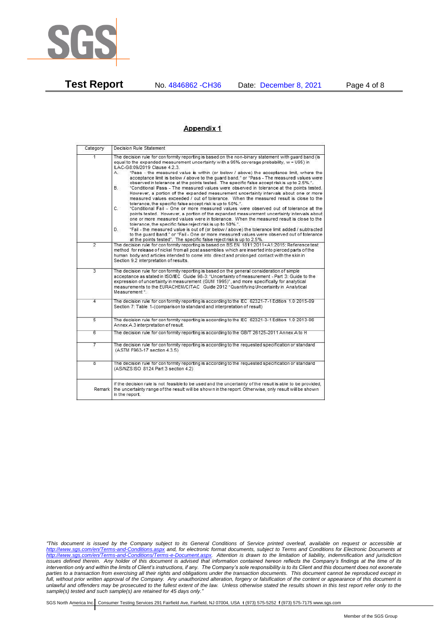

**Test Report** No. 4846862 -CH36 Date: December 8, 2021 Page 4 of 8

#### Appendix 1

| Category                | Decision Rule Statement                                                                                                                                                                                                                                                                                                                                                                                                                                                                                                                                                                                                                                                                                                                                                                                                                                                                                                                                                                                                                                                                                                                                                                                                                                                                                                                                                                                                                                                                                           |  |
|-------------------------|-------------------------------------------------------------------------------------------------------------------------------------------------------------------------------------------------------------------------------------------------------------------------------------------------------------------------------------------------------------------------------------------------------------------------------------------------------------------------------------------------------------------------------------------------------------------------------------------------------------------------------------------------------------------------------------------------------------------------------------------------------------------------------------------------------------------------------------------------------------------------------------------------------------------------------------------------------------------------------------------------------------------------------------------------------------------------------------------------------------------------------------------------------------------------------------------------------------------------------------------------------------------------------------------------------------------------------------------------------------------------------------------------------------------------------------------------------------------------------------------------------------------|--|
| $\overline{1}$          | The decision rule for conformity reporting is based on the non-binary statement with guard band (is<br>equal to the expanded measurement uncertainty with a 95% coverage probability, w = U95) in<br>ILAC-G8:09/2019 Clause 4.2.3.<br>"Pass - the measured value is within (or below / above) the acceptance limit, where the<br>А.<br>acceptance limit is below / above to the quard band." or "Pass - The measured values were<br>observed in tolerance at the points tested. The specific false accept risk is up to 2.5%.".<br>"Conditional Pass - The measured values were observed in tolerance at the points tested.<br>В.<br>However, a portion of the expanded measurement uncertainty intervals about one or more<br>measured values exceeded / out of tolerance. When the measured result is close to the<br>tolerance, the specific false accept risk is up to 50%."<br>C.<br>"Conditional Fail - One or more measured values were observed out of tolerance at the<br>points tested. However, a portion of the expanded measurement uncertainty intervals about<br>one or more measured values were in tolerance. When the measured result is close to the<br>tolerance, the specific false reject risk is up to 50%.".<br>"Fail - the measured value is out of (or below / above) the tolerance limit added / subtracted<br>D.<br>to the quard band." or "Fail - One or more measured values were observed out of tolerance<br>at the points tested". The specific false reject risk is up to 2.5%. |  |
| $\overline{2}$          | The decision rule for conformity reporting is based on BS EN 1811:2011+A1:2015: Reference test<br>method for release of nickel from all post assemblies which are inserted into pierced parts of the<br>human body and articles intended to come into direct and prolonged contact with the skin in<br>Section 9.2 interpretation of results.                                                                                                                                                                                                                                                                                                                                                                                                                                                                                                                                                                                                                                                                                                                                                                                                                                                                                                                                                                                                                                                                                                                                                                     |  |
| $\overline{3}$          | The decision rule for conformity reporting is based on the general consideration of simple<br>acceptance as stated in ISO/IEC Guide 98-3: "Uncertainty of measurement - Part 3: Guide to the<br>expression of uncertainty in measurement (GUM 1995)", and more specifically for analytical<br>measurements to the EURACHEM/CITAC Guide 2012 "Quantifying Uncertainty in Analytical<br>Measurement <sup>*</sup>                                                                                                                                                                                                                                                                                                                                                                                                                                                                                                                                                                                                                                                                                                                                                                                                                                                                                                                                                                                                                                                                                                    |  |
| 4                       | The decision rule for conformity reporting is according to the IEC 62321-7-1 Edition 1.0 2015-09<br>Section 7: Table 1-(comparison to standard and interpretation of result)                                                                                                                                                                                                                                                                                                                                                                                                                                                                                                                                                                                                                                                                                                                                                                                                                                                                                                                                                                                                                                                                                                                                                                                                                                                                                                                                      |  |
| 5                       | The decision rule for conformity reporting is according to the IEC 62321-3-1 Edition 1.0 2013-06<br>Annex A.3 interpretation of result.                                                                                                                                                                                                                                                                                                                                                                                                                                                                                                                                                                                                                                                                                                                                                                                                                                                                                                                                                                                                                                                                                                                                                                                                                                                                                                                                                                           |  |
| 6                       | The decision rule for conformity reporting is according to the GB/T 26125-2011 Annex A to H                                                                                                                                                                                                                                                                                                                                                                                                                                                                                                                                                                                                                                                                                                                                                                                                                                                                                                                                                                                                                                                                                                                                                                                                                                                                                                                                                                                                                       |  |
| 7                       | The decision rule for conformity reporting is according to the requested specification or standard<br>(ASTM F963-17 section 4.3.5)                                                                                                                                                                                                                                                                                                                                                                                                                                                                                                                                                                                                                                                                                                                                                                                                                                                                                                                                                                                                                                                                                                                                                                                                                                                                                                                                                                                |  |
| $\overline{\mathbf{8}}$ | The decision rule for conformity reporting is according to the requested specification or standard<br>(AS/NZS ISO 8124 Part 3 section 4.2)                                                                                                                                                                                                                                                                                                                                                                                                                                                                                                                                                                                                                                                                                                                                                                                                                                                                                                                                                                                                                                                                                                                                                                                                                                                                                                                                                                        |  |
| Remark                  | If the decision rule is not feasible to be used and the uncertainty of the result is able to be provided,<br>the uncertainty range of the result will be shown in the report. Otherwise, only result will be shown<br>in the report.                                                                                                                                                                                                                                                                                                                                                                                                                                                                                                                                                                                                                                                                                                                                                                                                                                                                                                                                                                                                                                                                                                                                                                                                                                                                              |  |

*"This document is issued by the Company subject to its General Conditions of Service printed overleaf, available on request or accessible at <http://www.sgs.com/en/Terms-and-Conditions.aspx> and, for electronic format documents, subject to Terms and Conditions for Electronic Documents at [http://www.sgs.com/en/Terms-and-Conditions/Terms-e-Document.aspx.](http://www.sgs.com/en/Terms-and-Conditions/Terms-e-Document.aspx) Attention is drawn to the limitation of liability, indemnification and jurisdiction issues defined therein. Any holder of this document is advised that information contained hereon reflects the Company's findings at the time of its intervention only and within the limits of Client's instructions, if any. The Company's sole responsibility is to its Client and this document does not exonerate parties to a transaction from exercising all their rights and obligations under the transaction documents. This document cannot be reproduced except in*  full, without prior written approval of the Company. Any unauthorized alteration, forgery or falsification of the content or appearance of this document is *unlawful and offenders may be prosecuted to the fullest extent of the law. Unless otherwise stated the results shown in this test report refer only to the sample(s) tested and such sample(s) are retained for 45 days only."*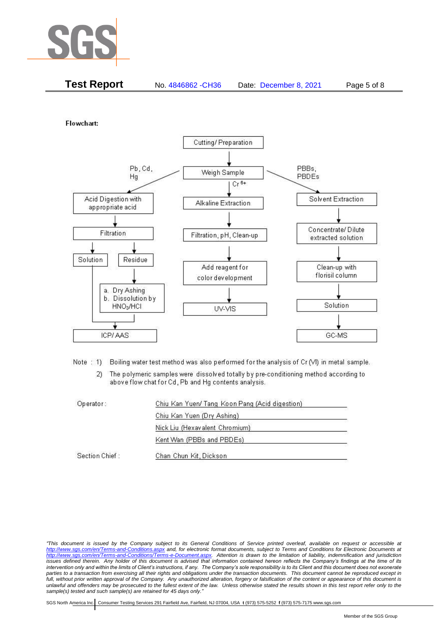

| <b>Test Report</b><br>No. 4846862 - CH36<br>Page 5 of 8<br>Date: December 8, 2021 |
|-----------------------------------------------------------------------------------|
|-----------------------------------------------------------------------------------|

Flowchart:



Note: 1) Boiling water test method was also performed for the analysis of Cr (VI) in metal sample.

The polymeric samples were dissolved totally by pre-conditioning method according to  $2)$ above flow chat for Cd, Pb and Hg contents analysis.

| Operator:      | Chiu Kan Yuen/ Tang Koon Pang (Acid digestion) |  |
|----------------|------------------------------------------------|--|
|                | Chiu Kan Yuen (Dry Ashing)                     |  |
|                | Nick Liu (Hexavalent Chromium)                 |  |
|                | Kent Wan (PBBs and PBDEs)                      |  |
| Section Chief: | Chan Chun Kit, Dickson                         |  |

*"This document is issued by the Company subject to its General Conditions of Service printed overleaf, available on request or accessible at <http://www.sgs.com/en/Terms-and-Conditions.aspx> and, for electronic format documents, subject to Terms and Conditions for Electronic Documents at [http://www.sgs.com/en/Terms-and-Conditions/Terms-e-Document.aspx.](http://www.sgs.com/en/Terms-and-Conditions/Terms-e-Document.aspx) Attention is drawn to the limitation of liability, indemnification and jurisdiction issues defined therein. Any holder of this document is advised that information contained hereon reflects the Company's findings at the time of its intervention only and within the limits of Client's instructions, if any. The Company's sole responsibility is to its Client and this document does not exonerate*  parties to a transaction from exercising all their rights and obligations under the transaction documents. This document cannot be reproduced except in full, without prior written approval of the Company. Any unauthorized alteration, forgery or falsification of the content or appearance of this document is *unlawful and offenders may be prosecuted to the fullest extent of the law. Unless otherwise stated the results shown in this test report refer only to the sample(s) tested and such sample(s) are retained for 45 days only."*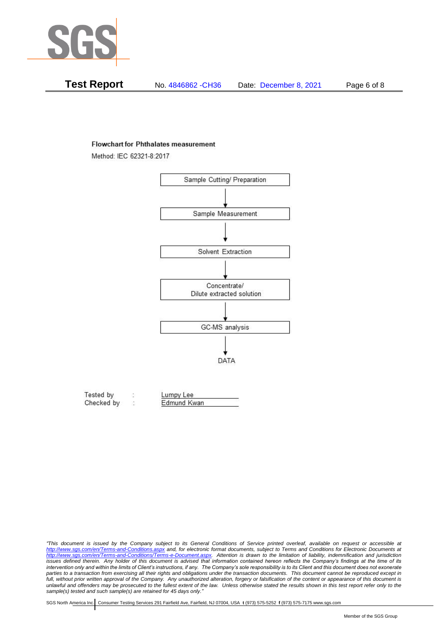

| <b>Test Report</b> | No. 4846862 - CH36 | Date: December 8, 2021 | Page 6 of 8 |
|--------------------|--------------------|------------------------|-------------|
|                    |                    |                        |             |

#### **Flowchart for Phthalates measurement**

Method: IEC 62321-8:2017



| Tested by  | Lumpy Lee   |  |
|------------|-------------|--|
| Checked by | Edmund Kwan |  |

*<sup>&</sup>quot;This document is issued by the Company subject to its General Conditions of Service printed overleaf, available on request or accessible at <http://www.sgs.com/en/Terms-and-Conditions.aspx> and, for electronic format documents, subject to Terms and Conditions for Electronic Documents at [http://www.sgs.com/en/Terms-and-Conditions/Terms-e-Document.aspx.](http://www.sgs.com/en/Terms-and-Conditions/Terms-e-Document.aspx) Attention is drawn to the limitation of liability, indemnification and jurisdiction issues defined therein. Any holder of this document is advised that information contained hereon reflects the Company's findings at the time of its intervention only and within the limits of Client's instructions, if any. The Company's sole responsibility is to its Client and this document does not exonerate*  parties to a transaction from exercising all their rights and obligations under the transaction documents. This document cannot be reproduced except in full, without prior written approval of the Company. Any unauthorized alteration, forgery or falsification of the content or appearance of this document is *unlawful and offenders may be prosecuted to the fullest extent of the law. Unless otherwise stated the results shown in this test report refer only to the sample(s) tested and such sample(s) are retained for 45 days only."*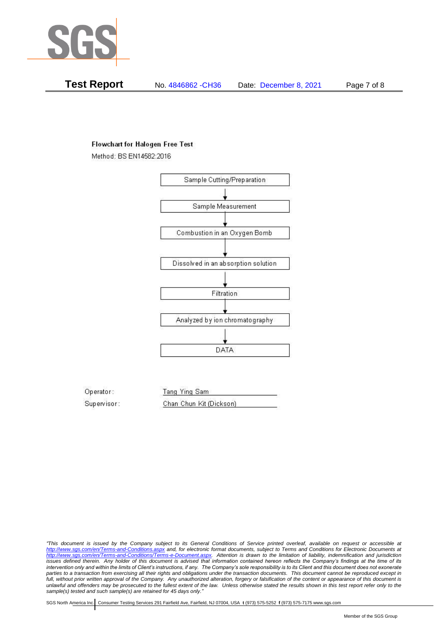

**Test Report** No. 4846862 -CH36 Date: December 8, 2021 Page 7 of 8

## **Flowchart for Halogen Free Test**

Method: BS EN14582:2016



Operator: Tang Ying Sam Supervisor: Chan Chun Kit (Dickson)

*"This document is issued by the Company subject to its General Conditions of Service printed overleaf, available on request or accessible at <http://www.sgs.com/en/Terms-and-Conditions.aspx> and, for electronic format documents, subject to Terms and Conditions for Electronic Documents at [http://www.sgs.com/en/Terms-and-Conditions/Terms-e-Document.aspx.](http://www.sgs.com/en/Terms-and-Conditions/Terms-e-Document.aspx) Attention is drawn to the limitation of liability, indemnification and jurisdiction issues defined therein. Any holder of this document is advised that information contained hereon reflects the Company's findings at the time of its intervention only and within the limits of Client's instructions, if any. The Company's sole responsibility is to its Client and this document does not exonerate parties to a transaction from exercising all their rights and obligations under the transaction documents. This document cannot be reproduced except in*  full, without prior written approval of the Company. Any unauthorized alteration, forgery or falsification of the content or appearance of this document is *unlawful and offenders may be prosecuted to the fullest extent of the law. Unless otherwise stated the results shown in this test report refer only to the sample(s) tested and such sample(s) are retained for 45 days only."*